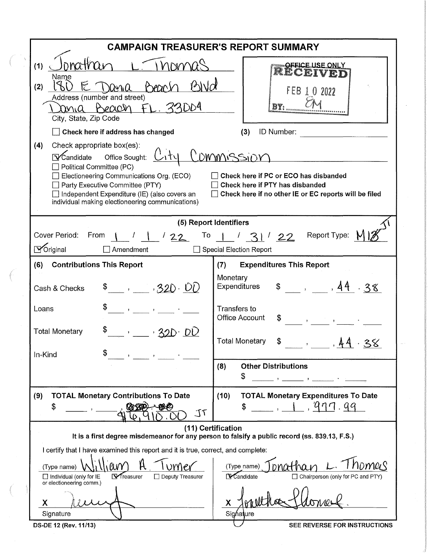| <b>CAMPAIGN TREASURER'S REPORT SUMMARY</b>                                                                                                                                                                                                                                                                                                                                                                                                                    |                                                                                                                                        |  |  |  |  |  |
|---------------------------------------------------------------------------------------------------------------------------------------------------------------------------------------------------------------------------------------------------------------------------------------------------------------------------------------------------------------------------------------------------------------------------------------------------------------|----------------------------------------------------------------------------------------------------------------------------------------|--|--|--|--|--|
| Thomas<br>onathar<br>(1)<br>Name<br>E Dana<br>(2)<br><b>Precipity</b><br>Address (number and street)<br>Beach FL. 33004<br>rnia<br>City, State, Zip Code                                                                                                                                                                                                                                                                                                      | OFFICE USE ONLY<br>RECEIVET<br>FEB<br>1 0 2022                                                                                         |  |  |  |  |  |
| Check here if address has changed                                                                                                                                                                                                                                                                                                                                                                                                                             | ID Number:<br>(3)                                                                                                                      |  |  |  |  |  |
| (4)<br>Check appropriate box(es):<br><u>Commissior</u><br>$\nabla$ Candidate Office Sought:<br>Political Committee (PC)<br>Check here if PC or ECO has disbanded<br>Electioneering Communications Org. (ECO)<br>$\Box$ Party Executive Committee (PTY)<br>Check here if PTY has disbanded<br>$\Box$ Independent Expenditure (IE) (also covers an<br>Check here if no other IE or EC reports will be filed<br>individual making electioneering communications) |                                                                                                                                        |  |  |  |  |  |
|                                                                                                                                                                                                                                                                                                                                                                                                                                                               | (5) Report Identifiers                                                                                                                 |  |  |  |  |  |
| Cover Period:<br>From<br>122                                                                                                                                                                                                                                                                                                                                                                                                                                  | Report Type:<br>To $1/31/22$                                                                                                           |  |  |  |  |  |
| $\Delta$ Original<br>Amendment                                                                                                                                                                                                                                                                                                                                                                                                                                | <b>Special Election Report</b>                                                                                                         |  |  |  |  |  |
| <b>Contributions This Report</b><br>(6)                                                                                                                                                                                                                                                                                                                                                                                                                       | <b>Expenditures This Report</b><br>(7)                                                                                                 |  |  |  |  |  |
| \$320.00<br>Cash & Checks                                                                                                                                                                                                                                                                                                                                                                                                                                     | Monetary<br>\$ , 44.38<br><b>Expenditures</b>                                                                                          |  |  |  |  |  |
| Loans                                                                                                                                                                                                                                                                                                                                                                                                                                                         | <b>Transfers to</b><br><b>Office Account</b><br>S<br>$\mathbf{r} = \mathbf{r} \mathbf{r}$ , where $\mathbf{r} = \mathbf{r} \mathbf{r}$ |  |  |  |  |  |
| \$<br><b>Total Monetary</b><br>$\hspace{0.1cm}$ , $\hspace{0.1cm}$ , $\hspace{0.1cm}$ 32D DU                                                                                                                                                                                                                                                                                                                                                                  | <b>Total Monetary</b><br>\$<br>38                                                                                                      |  |  |  |  |  |
| In-Kind                                                                                                                                                                                                                                                                                                                                                                                                                                                       | <b>Other Distributions</b><br>(8)                                                                                                      |  |  |  |  |  |
|                                                                                                                                                                                                                                                                                                                                                                                                                                                               | \$<br>The company of the company of the process of                                                                                     |  |  |  |  |  |
| <b>TOTAL Monetary Contributions To Date</b><br>(9)<br>\$<br>J <sub>1</sub>                                                                                                                                                                                                                                                                                                                                                                                    | <b>TOTAL Monetary Expenditures To Date</b><br>(10)<br>1, 1, 911.99<br>\$                                                               |  |  |  |  |  |
| (11) Certification<br>It is a first degree misdemeanor for any person to falsify a public record (ss. 839.13, F.S.)                                                                                                                                                                                                                                                                                                                                           |                                                                                                                                        |  |  |  |  |  |
| I certify that I have examined this report and it is true, correct, and complete:                                                                                                                                                                                                                                                                                                                                                                             |                                                                                                                                        |  |  |  |  |  |
| WY<br>(Type name)<br>(Type name)<br>Vreasurer<br>□ Chairperson (only for PC and PTY)<br>$\Box$ Individual (only for IE<br>LCandidate<br>$\Box$ Deputy Treasurer<br>or electioneering comm.)                                                                                                                                                                                                                                                                   |                                                                                                                                        |  |  |  |  |  |
| X                                                                                                                                                                                                                                                                                                                                                                                                                                                             | X.                                                                                                                                     |  |  |  |  |  |
| Signature<br>DS-DE 12 (Rev. 11/13)                                                                                                                                                                                                                                                                                                                                                                                                                            | Signature<br>SEE REVERSE FOR INSTRUCTIONS                                                                                              |  |  |  |  |  |

 $\label{eq:reduced} \begin{picture}(220,5) \put(0,0){\dashbox{0.5}(5,0){ }} \put(15,0){\dashbox{0.5}(5,0){ }} \put(15,0){\dashbox{0.5}(5,0){ }} \put(15,0){\dashbox{0.5}(5,0){ }} \put(15,0){\dashbox{0.5}(5,0){ }} \put(15,0){\dashbox{0.5}(5,0){ }} \put(15,0){\dashbox{0.5}(5,0){ }} \put(15,0){\dashbox{0.5}(5,0){ }} \put(15,0){\dashbox{0.5}(5,0){ }} \put(15,0){\dashbox{0$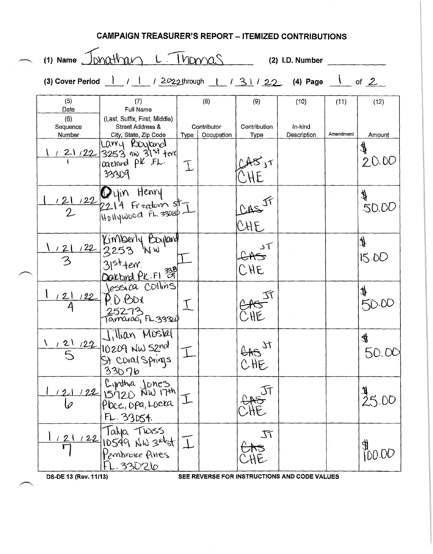| <b>CAMPAIGN TREASURER'S REPORT - ITEMIZED CONTRIBUTIONS</b> |                                                                                                                                                             |                                                                                       |             |                           |                       |                                              |           |                       |
|-------------------------------------------------------------|-------------------------------------------------------------------------------------------------------------------------------------------------------------|---------------------------------------------------------------------------------------|-------------|---------------------------|-----------------------|----------------------------------------------|-----------|-----------------------|
|                                                             | (1) Name Jonathan L. Thomas<br>$(2)$ I.D. Number                                                                                                            |                                                                                       |             |                           |                       |                                              |           |                       |
|                                                             | (3) Cover Period $\frac{1}{2}$ / $\frac{1}{2}$ / $\frac{2022 \text{ through}}{2}$ / $\frac{31}{2}$ / $\frac{22}{2}$ (4) Page $\frac{1}{2}$ of $\frac{2}{2}$ |                                                                                       |             |                           |                       |                                              |           |                       |
|                                                             | (5)<br>Date                                                                                                                                                 | (7)<br>Full Name                                                                      |             | (8)                       | (9)                   | (10)                                         | (11)      | (12)                  |
|                                                             | (6)<br>Sequence<br>Number                                                                                                                                   | (Last, Suffix, First, Middle)<br><b>Street Address &amp;</b><br>City, State, Zip Code | $Type \mid$ | Contributor<br>Occupation | Contribution<br>Type  | In-kind<br>Description                       | Amendment | Amount                |
|                                                             |                                                                                                                                                             | Larry Royland<br>$121/22$ 3253 nw 31st term<br>33309                                  | T           |                           |                       |                                              |           | $\pmb{\psi}$<br>20.00 |
|                                                             |                                                                                                                                                             | 121 122 2214 Fredom st                                                                |             |                           | CASJF<br>CHE          |                                              |           | ∯<br>∯<br>50.00       |
|                                                             |                                                                                                                                                             | 122 Kimberly Boyland<br>122 3253 NW<br>31st terr.<br>21st terr.<br>Jessica Collins    |             |                           | 5 <sup>1</sup><br>CHE |                                              |           | H,<br>15.00           |
|                                                             | 12<br>122                                                                                                                                                   | D BDX<br>25273<br>Tamarac <sub>ı</sub> FL.33324                                       |             |                           |                       |                                              |           | t                     |
|                                                             | $\frac{121}{5}$                                                                                                                                             | illian Mostal<br>122 10209 NW 52nd<br>33076                                           |             |                           | EAS ST                |                                              |           | 4<br>50. OC           |
|                                                             |                                                                                                                                                             | 122 Cynthia Jones<br>122 IS720 NW 17th.<br>FL. 33054.                                 |             |                           |                       |                                              |           | 5.00                  |
|                                                             |                                                                                                                                                             | 122 Tahja TWASS<br>122 10549 NW 3rdst I<br>FL.33026                                   |             |                           | TT                    |                                              |           | DD.00                 |
|                                                             | DS-DE 13 (Rev. 11/13)                                                                                                                                       |                                                                                       |             |                           |                       | SEE REVERSE FOR INSTRUCTIONS AND CODE VALUES |           |                       |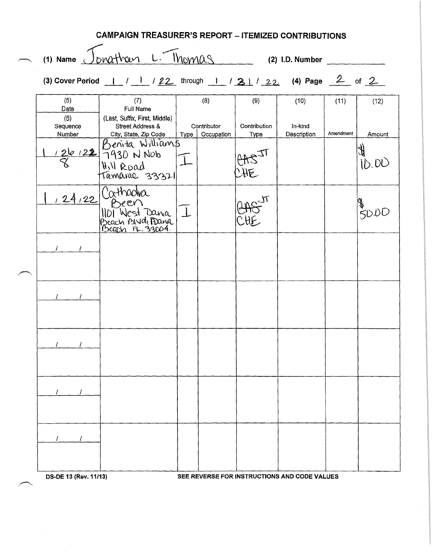| <b>CAMPAIGN TREASURER'S REPORT - ITEMIZED CONTRIBUTIONS</b> |                                                           |                                  |                      |                        |           |        |  |
|-------------------------------------------------------------|-----------------------------------------------------------|----------------------------------|----------------------|------------------------|-----------|--------|--|
|                                                             | (3) Cover Period $1/22$ through 1 / 21/22 (4) Page 2 of 2 |                                  |                      |                        |           |        |  |
| (5)<br>Date<br>(6)                                          | (7)<br>Full Name<br>(Last, Suffix, First, Middle)         | (8)                              | (9)                  | (10)                   | (11)      | (12)   |  |
| Sequence<br>Number                                          | <b>Street Address &amp;</b><br>City, State, Zip Code      | Contributor<br>Type   Occupation | Contribution<br>Type | In-kind<br>Description | Amendment | Amount |  |
|                                                             | 126/22 Benita Williams<br>8 1930 N Nob<br>Tamarae 33321   |                                  | $rac{1}{\sqrt{15}}$  |                        |           | ID.DU  |  |
|                                                             | Cathadra<br>Been<br>1101 West Dania<br>Beach ANd Dana     |                                  |                      |                        |           | 50.00  |  |
|                                                             |                                                           |                                  |                      |                        |           |        |  |
|                                                             |                                                           |                                  |                      |                        |           |        |  |
|                                                             |                                                           |                                  |                      |                        |           |        |  |
|                                                             |                                                           |                                  |                      |                        |           |        |  |
|                                                             |                                                           |                                  |                      |                        |           |        |  |
|                                                             |                                                           |                                  |                      |                        |           |        |  |

OS-DE 13 (Rev. 11/13) SEE REVERSE FOR INSTRUCTIONS AND CODE VALUES

 $\hat{\boldsymbol{\beta}}$